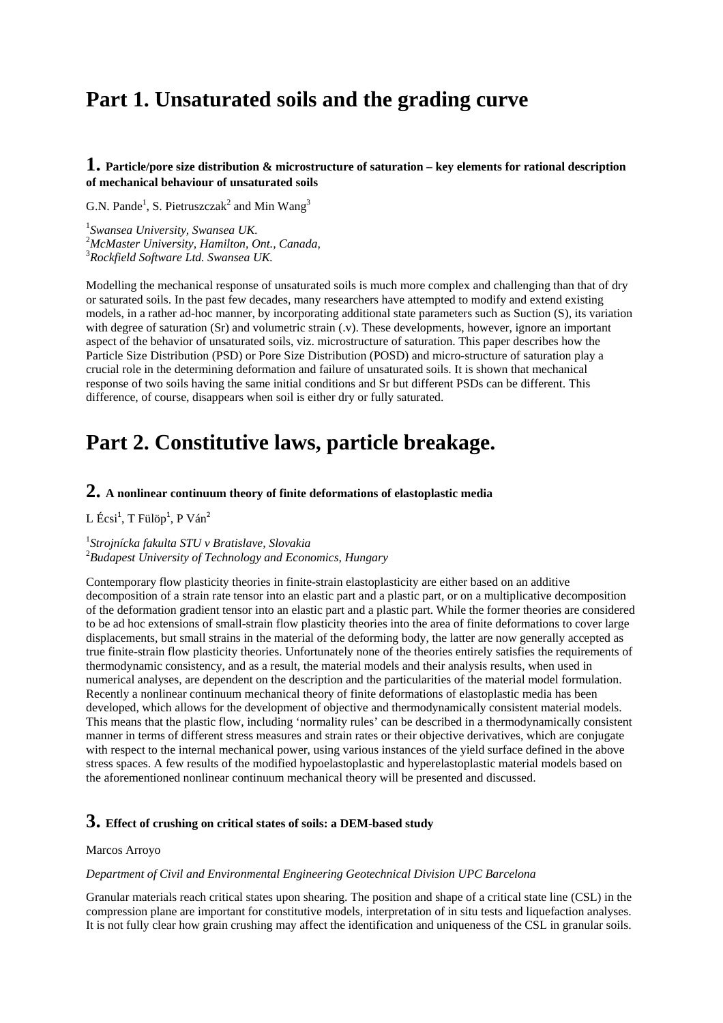# **Part 1. Unsaturated soils and the grading curve**

## **1. Particle/pore size distribution & microstructure of saturation – key elements for rational description of mechanical behaviour of unsaturated soils**

G.N. Pande<sup>1</sup>, S. Pietruszczak<sup>2</sup> and Min Wang<sup>3</sup>

1 *Swansea University, Swansea UK.*  <sup>2</sup>*McMaster University, Hamilton, Ont., Canada,*  <sup>3</sup>*Rockfield Software Ltd. Swansea UK.* 

Modelling the mechanical response of unsaturated soils is much more complex and challenging than that of dry or saturated soils. In the past few decades, many researchers have attempted to modify and extend existing models, in a rather ad-hoc manner, by incorporating additional state parameters such as Suction (S), its variation with degree of saturation (Sr) and volumetric strain (v). These developments, however, ignore an important aspect of the behavior of unsaturated soils, viz. microstructure of saturation. This paper describes how the Particle Size Distribution (PSD) or Pore Size Distribution (POSD) and micro-structure of saturation play a crucial role in the determining deformation and failure of unsaturated soils. It is shown that mechanical response of two soils having the same initial conditions and Sr but different PSDs can be different. This difference, of course, disappears when soil is either dry or fully saturated.

# **Part 2. Constitutive laws, particle breakage.**

## **2. A nonlinear continuum theory of finite deformations of elastoplastic media**

L Écsi<sup>1</sup>, T Fülöp<sup>1</sup>, P Ván<sup>2</sup>

1 *Strojnícka fakulta STU v Bratislave, Slovakia*  <sup>2</sup>*Budapest University of Technology and Economics, Hungary*

Contemporary flow plasticity theories in finite-strain elastoplasticity are either based on an additive decomposition of a strain rate tensor into an elastic part and a plastic part, or on a multiplicative decomposition of the deformation gradient tensor into an elastic part and a plastic part. While the former theories are considered to be ad hoc extensions of small-strain flow plasticity theories into the area of finite deformations to cover large displacements, but small strains in the material of the deforming body, the latter are now generally accepted as true finite-strain flow plasticity theories. Unfortunately none of the theories entirely satisfies the requirements of thermodynamic consistency, and as a result, the material models and their analysis results, when used in numerical analyses, are dependent on the description and the particularities of the material model formulation. Recently a nonlinear continuum mechanical theory of finite deformations of elastoplastic media has been developed, which allows for the development of objective and thermodynamically consistent material models. This means that the plastic flow, including 'normality rules' can be described in a thermodynamically consistent manner in terms of different stress measures and strain rates or their objective derivatives, which are conjugate with respect to the internal mechanical power, using various instances of the yield surface defined in the above stress spaces. A few results of the modified hypoelastoplastic and hyperelastoplastic material models based on the aforementioned nonlinear continuum mechanical theory will be presented and discussed.

## **3. Effect of crushing on critical states of soils: a DEM-based study**

Marcos Arroyo

#### *Department of Civil and Environmental Engineering Geotechnical Division UPC Barcelona*

Granular materials reach critical states upon shearing. The position and shape of a critical state line (CSL) in the compression plane are important for constitutive models, interpretation of in situ tests and liquefaction analyses. It is not fully clear how grain crushing may affect the identification and uniqueness of the CSL in granular soils.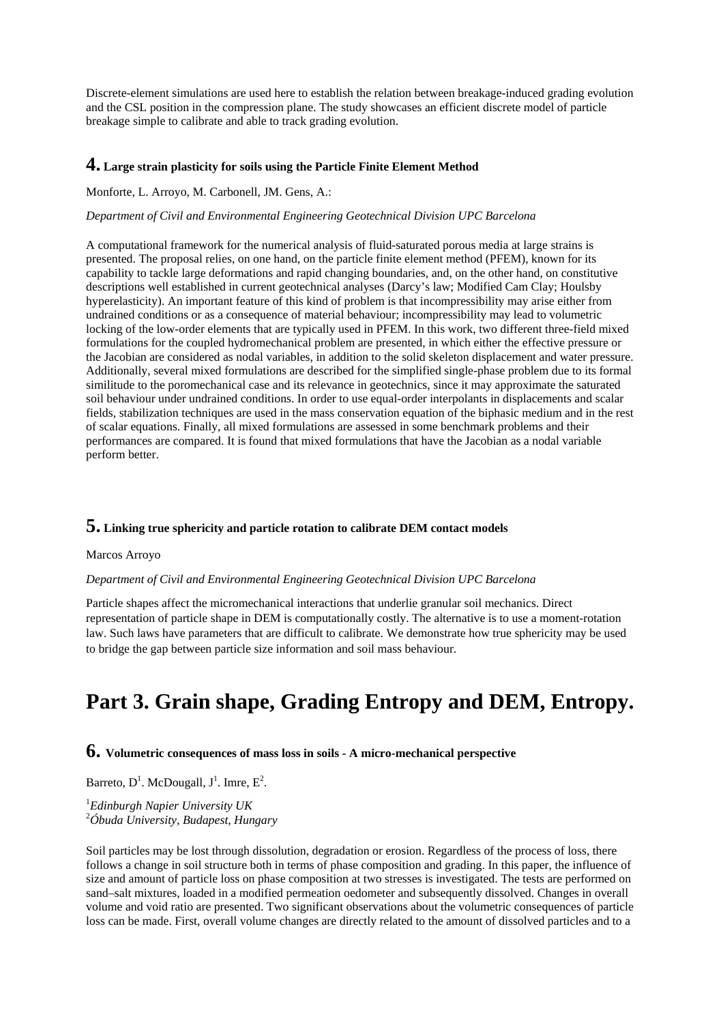Discrete-element simulations are used here to establish the relation between breakage-induced grading evolution and the CSL position in the compression plane. The study showcases an efficient discrete model of particle breakage simple to calibrate and able to track grading evolution.

## **4. Large strain plasticity for soils using the Particle Finite Element Method**

Monforte, L. Arroyo, M. Carbonell, JM. Gens, A.:

#### *Department of Civil and Environmental Engineering Geotechnical Division UPC Barcelona*

A computational framework for the numerical analysis of fluid-saturated porous media at large strains is presented. The proposal relies, on one hand, on the particle finite element method (PFEM), known for its capability to tackle large deformations and rapid changing boundaries, and, on the other hand, on constitutive descriptions well established in current geotechnical analyses (Darcy's law; Modified Cam Clay; Houlsby hyperelasticity). An important feature of this kind of problem is that incompressibility may arise either from undrained conditions or as a consequence of material behaviour; incompressibility may lead to volumetric locking of the low-order elements that are typically used in PFEM. In this work, two different three-field mixed formulations for the coupled hydromechanical problem are presented, in which either the effective pressure or the Jacobian are considered as nodal variables, in addition to the solid skeleton displacement and water pressure. Additionally, several mixed formulations are described for the simplified single-phase problem due to its formal similitude to the poromechanical case and its relevance in geotechnics, since it may approximate the saturated soil behaviour under undrained conditions. In order to use equal-order interpolants in displacements and scalar fields, stabilization techniques are used in the mass conservation equation of the biphasic medium and in the rest of scalar equations. Finally, all mixed formulations are assessed in some benchmark problems and their performances are compared. It is found that mixed formulations that have the Jacobian as a nodal variable perform better.

## **5. Linking true sphericity and particle rotation to calibrate DEM contact models**

#### Marcos Arroyo

#### *Department of Civil and Environmental Engineering Geotechnical Division UPC Barcelona*

Particle shapes affect the micromechanical interactions that underlie granular soil mechanics. Direct representation of particle shape in DEM is computationally costly. The alternative is to use a moment-rotation law. Such laws have parameters that are difficult to calibrate. We demonstrate how true sphericity may be used to bridge the gap between particle size information and soil mass behaviour.

# **Part 3. Grain shape, Grading Entropy and DEM, Entropy.**

## **6. Volumetric consequences of mass loss in soils - A micro-mechanical perspective**

Barreto,  $D^1$ . McDougall,  $J^1$ . Imre,  $E^2$ .

<sup>1</sup>*Edinburgh Napier University UK*  <sup>2</sup>*Óbuda University, Budapest, Hungary*

Soil particles may be lost through dissolution, degradation or erosion. Regardless of the process of loss, there follows a change in soil structure both in terms of phase composition and grading. In this paper, the influence of size and amount of particle loss on phase composition at two stresses is investigated. The tests are performed on sand–salt mixtures, loaded in a modified permeation oedometer and subsequently dissolved. Changes in overall volume and void ratio are presented. Two significant observations about the volumetric consequences of particle loss can be made. First, overall volume changes are directly related to the amount of dissolved particles and to a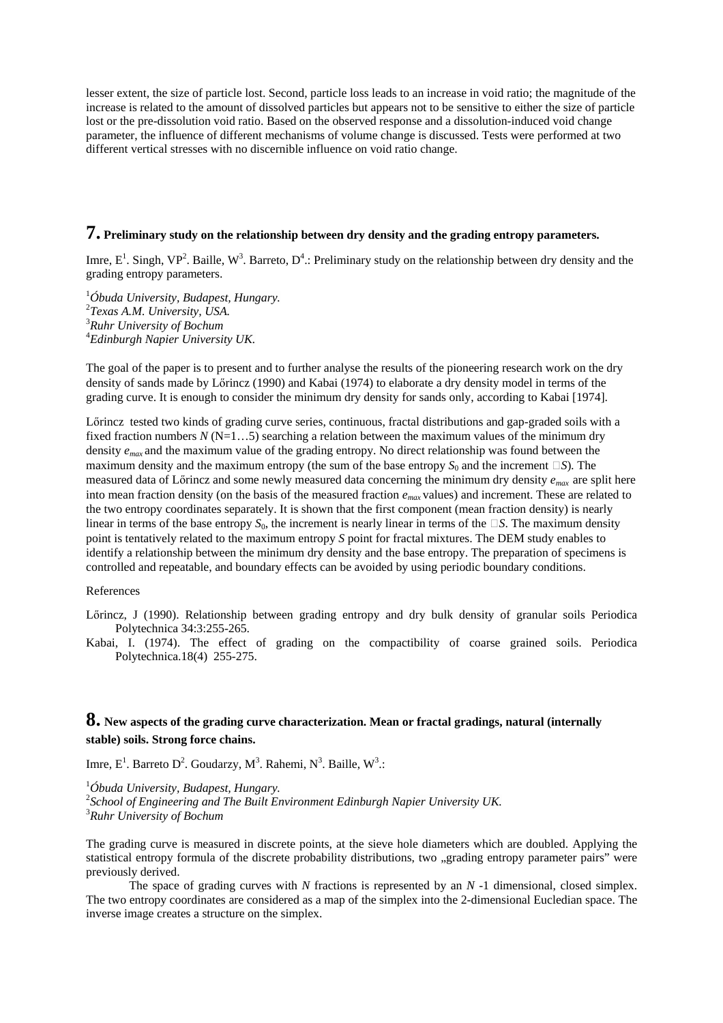lesser extent, the size of particle lost. Second, particle loss leads to an increase in void ratio; the magnitude of the increase is related to the amount of dissolved particles but appears not to be sensitive to either the size of particle lost or the pre-dissolution void ratio. Based on the observed response and a dissolution-induced void change parameter, the influence of different mechanisms of volume change is discussed. Tests were performed at two different vertical stresses with no discernible influence on void ratio change.

### **7. Preliminary study on the relationship between dry density and the grading entropy parameters.**

Imre,  $E^1$ . Singh, VP<sup>2</sup>. Baille, W<sup>3</sup>. Barreto, D<sup>4</sup>.: Preliminary study on the relationship between dry density and the grading entropy parameters.

*Óbuda University, Budapest, Hungary. Texas A.M. University, USA. Ruhr University of Bochum Edinburgh Napier University UK.* 

The goal of the paper is to present and to further analyse the results of the pioneering research work on the dry density of sands made by Lőrincz (1990) and Kabai (1974) to elaborate a dry density model in terms of the grading curve. It is enough to consider the minimum dry density for sands only, according to Kabai [1974].

Lőrincz tested two kinds of grading curve series, continuous, fractal distributions and gap-graded soils with a fixed fraction numbers *N* (N=1...5) searching a relation between the maximum values of the minimum dry density *emax* and the maximum value of the grading entropy. No direct relationship was found between the maximum density and the maximum entropy (the sum of the base entropy  $S_0$  and the increment  $\Box S$ ). The measured data of Lőrincz and some newly measured data concerning the minimum dry density *emax* are split here into mean fraction density (on the basis of the measured fraction *emax* values) and increment. These are related to the two entropy coordinates separately. It is shown that the first component (mean fraction density) is nearly linear in terms of the base entropy  $S_0$ , the increment is nearly linear in terms of the  $\Box S$ . The maximum density point is tentatively related to the maximum entropy *S* point for fractal mixtures. The DEM study enables to identify a relationship between the minimum dry density and the base entropy. The preparation of specimens is controlled and repeatable, and boundary effects can be avoided by using periodic boundary conditions.

#### References

Lőrincz, J (1990). Relationship between grading entropy and dry bulk density of granular soils Periodica Polytechnica 34:3:255-265.

Kabai, I. (1974). The effect of grading on the compactibility of coarse grained soils. Periodica Polytechnica.18(4) 255-275.

## **8. New aspects of the grading curve characterization. Mean or fractal gradings, natural (internally stable) soils. Strong force chains.**

Imre, E<sup>1</sup>. Barreto D<sup>2</sup>. Goudarzy, M<sup>3</sup>. Rahemi, N<sup>3</sup>. Baille, W<sup>3</sup>.:

<sup>1</sup>*Óbuda University, Budapest, Hungary.* 

2 *School of Engineering and The Built Environment Edinburgh Napier University UK.*  <sup>3</sup>*Ruhr University of Bochum* 

The grading curve is measured in discrete points, at the sieve hole diameters which are doubled. Applying the statistical entropy formula of the discrete probability distributions, two "grading entropy parameter pairs" were previously derived.

The space of grading curves with *N* fractions is represented by an *N* -1 dimensional, closed simplex. The two entropy coordinates are considered as a map of the simplex into the 2-dimensional Eucledian space. The inverse image creates a structure on the simplex.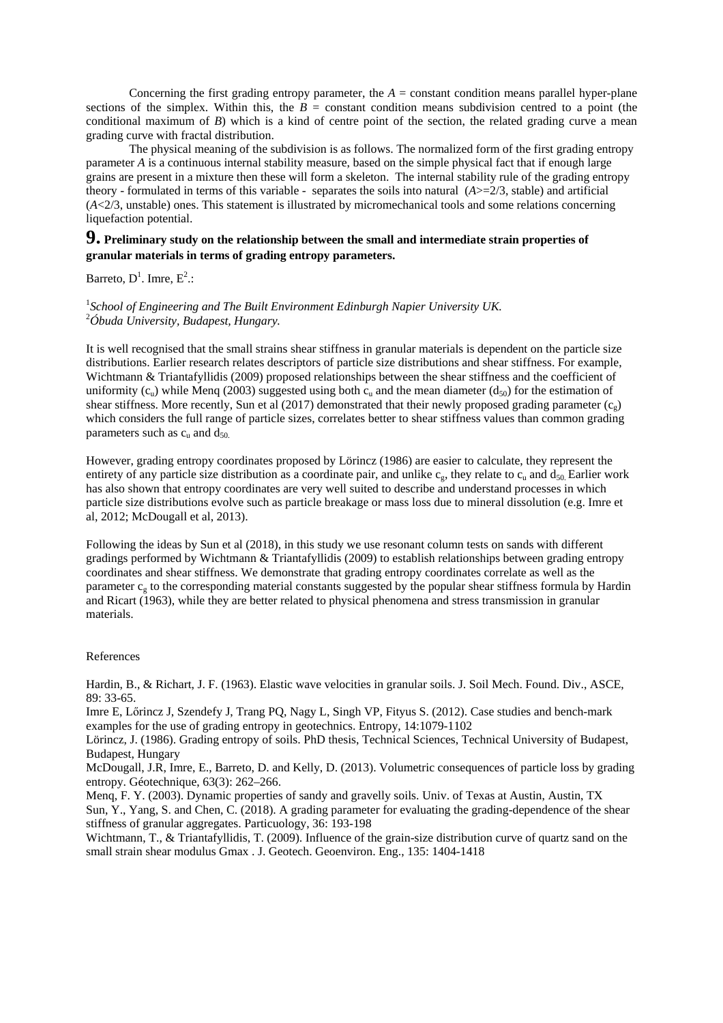Concerning the first grading entropy parameter, the  $A = constant$  condition means parallel hyper-plane sections of the simplex. Within this, the  $B =$  constant condition means subdivision centred to a point (the conditional maximum of *B*) which is a kind of centre point of the section, the related grading curve a mean grading curve with fractal distribution.

The physical meaning of the subdivision is as follows. The normalized form of the first grading entropy parameter *A* is a continuous internal stability measure, based on the simple physical fact that if enough large grains are present in a mixture then these will form a skeleton. The internal stability rule of the grading entropy theory - formulated in terms of this variable - separates the soils into natural  $(A>=2/3,$  stable) and artificial (*A*<2/3, unstable) ones. This statement is illustrated by micromechanical tools and some relations concerning liquefaction potential.

## **9. Preliminary study on the relationship between the small and intermediate strain properties of granular materials in terms of grading entropy parameters.**

Barreto,  $D^1$ . Imre,  $E^2$ .:

<sup>1</sup> School of Engineering and The Built Environment Edinburgh Napier University UK. <sup>2</sup>*Óbuda University, Budapest, Hungary.* 

It is well recognised that the small strains shear stiffness in granular materials is dependent on the particle size distributions. Earlier research relates descriptors of particle size distributions and shear stiffness. For example, Wichtmann & Triantafyllidis (2009) proposed relationships between the shear stiffness and the coefficient of uniformity  $(c_n)$  while Menq (2003) suggested using both  $c_n$  and the mean diameter (d<sub>50</sub>) for the estimation of shear stiffness. More recently, Sun et al (2017) demonstrated that their newly proposed grading parameter  $(c_g)$ which considers the full range of particle sizes, correlates better to shear stiffness values than common grading parameters such as  $c<sub>u</sub>$  and  $d<sub>50</sub>$ .

However, grading entropy coordinates proposed by Lörincz (1986) are easier to calculate, they represent the entirety of any particle size distribution as a coordinate pair, and unlike  $c_{\alpha}$ , they relate to  $c_{\alpha}$  and  $d_{50}$  Earlier work has also shown that entropy coordinates are very well suited to describe and understand processes in which particle size distributions evolve such as particle breakage or mass loss due to mineral dissolution (e.g. Imre et al, 2012; McDougall et al, 2013).

Following the ideas by Sun et al (2018), in this study we use resonant column tests on sands with different gradings performed by Wichtmann & Triantafyllidis (2009) to establish relationships between grading entropy coordinates and shear stiffness. We demonstrate that grading entropy coordinates correlate as well as the parameter  $c<sub>e</sub>$  to the corresponding material constants suggested by the popular shear stiffness formula by Hardin and Ricart (1963), while they are better related to physical phenomena and stress transmission in granular materials.

#### References

Hardin, B., & Richart, J. F. (1963). Elastic wave velocities in granular soils. J. Soil Mech. Found. Div., ASCE, 89: 33-65.

Imre E, Lőrincz J, Szendefy J, Trang PQ, Nagy L, Singh VP, Fityus S. (2012). Case studies and bench-mark examples for the use of grading entropy in geotechnics. Entropy, 14:1079-1102

Lörincz, J. (1986). Grading entropy of soils. PhD thesis, Technical Sciences, Technical University of Budapest, Budapest, Hungary

McDougall, J.R, Imre, E., Barreto, D. and Kelly, D. (2013). Volumetric consequences of particle loss by grading entropy. Géotechnique, 63(3): 262–266.

Menq, F. Y. (2003). Dynamic properties of sandy and gravelly soils. Univ. of Texas at Austin, Austin, TX Sun, Y., Yang, S. and Chen, C. (2018). A grading parameter for evaluating the grading-dependence of the shear stiffness of granular aggregates. Particuology, 36: 193-198

Wichtmann, T., & Triantafyllidis, T. (2009). Influence of the grain-size distribution curve of quartz sand on the small strain shear modulus Gmax . J. Geotech. Geoenviron. Eng., 135: 1404-1418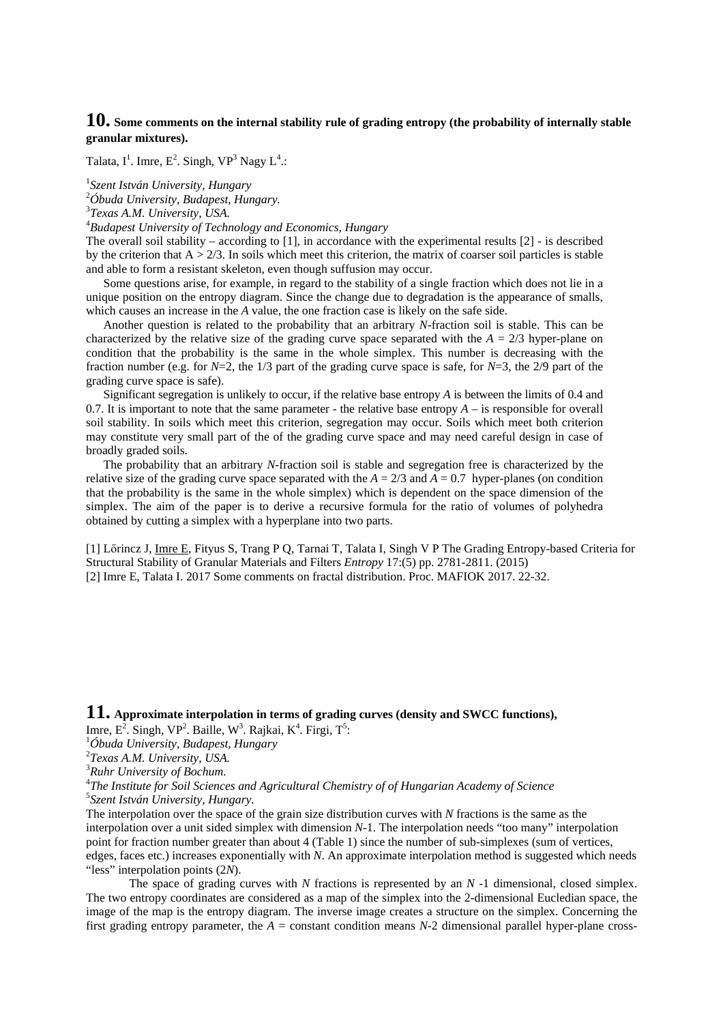### **10. Some comments on the internal stability rule of grading entropy (the probability of internally stable granular mixtures).**

Talata,  $I^1$ . Imre,  $E^2$ . Singh,  $VP^3$  Nagy  $L^4$ .:

1 *Szent István University, Hungary* 

<sup>2</sup>*Óbuda University, Budapest, Hungary.* 

3 *Texas A.M. University, USA.* 

<sup>4</sup>*Budapest University of Technology and Economics, Hungary*

The overall soil stability – according to [1], in accordance with the experimental results [2] - is described by the criterion that  $A > 2/3$ . In soils which meet this criterion, the matrix of coarser soil particles is stable and able to form a resistant skeleton, even though suffusion may occur.

 Some questions arise, for example, in regard to the stability of a single fraction which does not lie in a unique position on the entropy diagram. Since the change due to degradation is the appearance of smalls, which causes an increase in the *A* value, the one fraction case is likely on the safe side.

 Another question is related to the probability that an arbitrary *N*-fraction soil is stable. This can be characterized by the relative size of the grading curve space separated with the  $A = 2/3$  hyper-plane on condition that the probability is the same in the whole simplex. This number is decreasing with the fraction number (e.g. for  $N=2$ , the 1/3 part of the grading curve space is safe, for  $N=3$ , the 2/9 part of the grading curve space is safe).

 Significant segregation is unlikely to occur, if the relative base entropy *A* is between the limits of 0.4 and 0.7. It is important to note that the same parameter - the relative base entropy *A –* is responsible for overall soil stability. In soils which meet this criterion, segregation may occur. Soils which meet both criterion may constitute very small part of the of the grading curve space and may need careful design in case of broadly graded soils.

 The probability that an arbitrary *N*-fraction soil is stable and segregation free is characterized by the relative size of the grading curve space separated with the  $A = 2/3$  and  $A = 0.7$  hyper-planes (on condition that the probability is the same in the whole simplex) which is dependent on the space dimension of the simplex. The aim of the paper is to derive a recursive formula for the ratio of volumes of polyhedra obtained by cutting a simplex with a hyperplane into two parts.

[1] Lőrincz J, Imre E, Fityus S, Trang P Q, Tarnai T, Talata I, Singh V P The Grading Entropy-based Criteria for Structural Stability of Granular Materials and Filters *Entropy* 17:(5) pp. 2781-2811. (2015) [2] Imre E, Talata I. 2017 Some comments on fractal distribution. Proc. MAFIOK 2017. 22-32.

**11. Approximate interpolation in terms of grading curves (density and SWCC functions),** 

Imre, E<sup>2</sup>. Singh, VP<sup>2</sup>. Baille, W<sup>3</sup>. Rajkai, K<sup>4</sup>. Firgi, T<sup>5</sup>:

<sup>1</sup>*Óbuda University, Budapest, Hungary* 

- 2 *Texas A.M. University, USA.*
- <sup>3</sup>*Ruhr University of Bochum.*

4 *The Institute for Soil Sciences and Agricultural Chemistry of of Hungarian Academy of Science* 

5 *Szent István University, Hungary.*

The interpolation over the space of the grain size distribution curves with *N* fractions is the same as the interpolation over a unit sided simplex with dimension *N*-1. The interpolation needs "too many" interpolation point for fraction number greater than about 4 (Table 1) since the number of sub-simplexes (sum of vertices, edges, faces etc.) increases exponentially with *N*. An approximate interpolation method is suggested which needs "less" interpolation points (2*N*).

The space of grading curves with *N* fractions is represented by an *N* -1 dimensional, closed simplex. The two entropy coordinates are considered as a map of the simplex into the 2-dimensional Eucledian space, the image of the map is the entropy diagram. The inverse image creates a structure on the simplex. Concerning the first grading entropy parameter, the *A* = constant condition means *N*-2 dimensional parallel hyper-plane cross-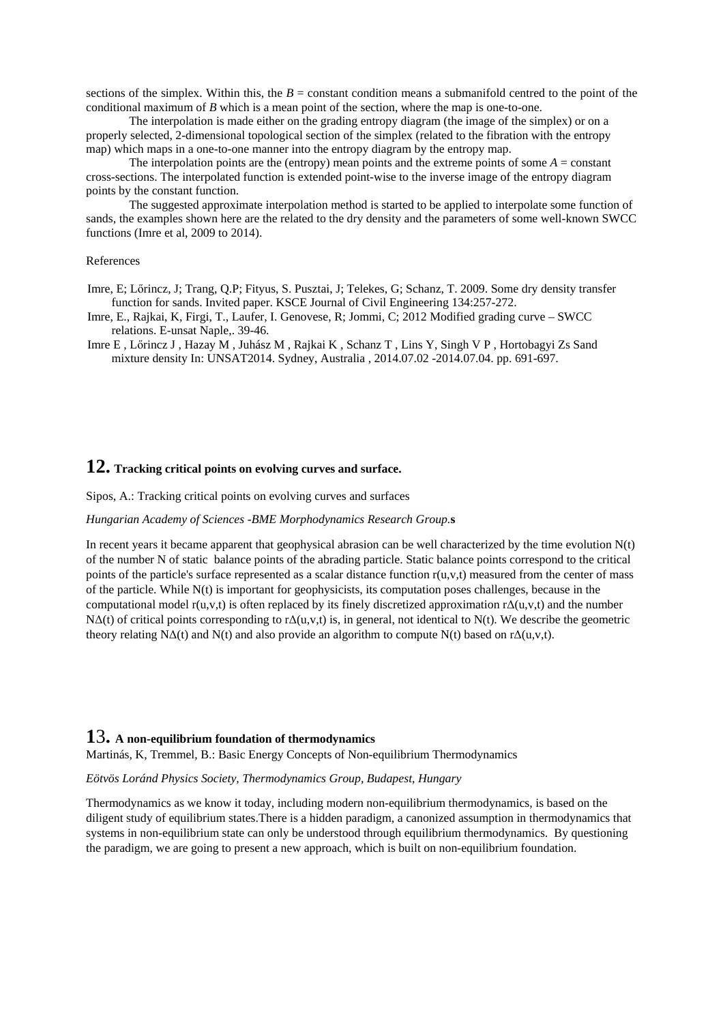sections of the simplex. Within this, the  $B =$  constant condition means a submanifold centred to the point of the conditional maximum of *B* which is a mean point of the section, where the map is one-to-one.

 The interpolation is made either on the grading entropy diagram (the image of the simplex) or on a properly selected, 2-dimensional topological section of the simplex (related to the fibration with the entropy map) which maps in a one-to-one manner into the entropy diagram by the entropy map.

The interpolation points are the (entropy) mean points and the extreme points of some  $A = constant$ cross-sections. The interpolated function is extended point-wise to the inverse image of the entropy diagram points by the constant function.

 The suggested approximate interpolation method is started to be applied to interpolate some function of sands, the examples shown here are the related to the dry density and the parameters of some well-known SWCC functions (Imre et al, 2009 to 2014).

#### References

Imre, E; Lőrincz, J; Trang, Q.P; Fityus, S. Pusztai, J; Telekes, G; Schanz, T. 2009. Some dry density transfer function for sands. Invited paper. KSCE Journal of Civil Engineering 134:257-272.

Imre, E., Rajkai, K, Firgi, T., Laufer, I. Genovese, R; Jommi, C; 2012 Modified grading curve – SWCC relations. E-unsat Naple,. 39-46.

Imre E , Lőrincz J , Hazay M , Juhász M , Rajkai K , Schanz T , Lins Y, Singh V P , Hortobagyi Zs Sand mixture density In: UNSAT2014. Sydney, Australia , 2014.07.02 -2014.07.04. pp. 691-697.

## **12. Tracking critical points on evolving curves and surface.**

Sipos, A.: Tracking critical points on evolving curves and surfaces

#### *Hungarian Academy of Sciences -BME Morphodynamics Research Group.***s**

In recent years it became apparent that geophysical abrasion can be well characterized by the time evolution  $N(t)$ of the number N of static balance points of the abrading particle. Static balance points correspond to the critical points of the particle's surface represented as a scalar distance function  $r(u,v,t)$  measured from the center of mass of the particle. While  $N(t)$  is important for geophysicists, its computation poses challenges, because in the computational model r(u,v,t) is often replaced by its finely discretized approximation r∆(u,v,t) and the number N∆(t) of critical points corresponding to  $r\Delta(u,v,t)$  is, in general, not identical to N(t). We describe the geometric theory relating N $\Delta(t)$  and N(t) and also provide an algorithm to compute N(t) based on r $\Delta(u,v,t)$ .

### **1**3**. A non-equilibrium foundation of thermodynamics**

Martinás, K, Tremmel, B.: Basic Energy Concepts of Non-equilibrium Thermodynamics

### *Eötvös Loránd Physics Society, Thermodynamics Group, Budapest, Hungary*

Thermodynamics as we know it today, including modern non-equilibrium thermodynamics, is based on the diligent study of equilibrium states.There is a hidden paradigm, a canonized assumption in thermodynamics that systems in non-equilibrium state can only be understood through equilibrium thermodynamics. By questioning the paradigm, we are going to present a new approach, which is built on non-equilibrium foundation.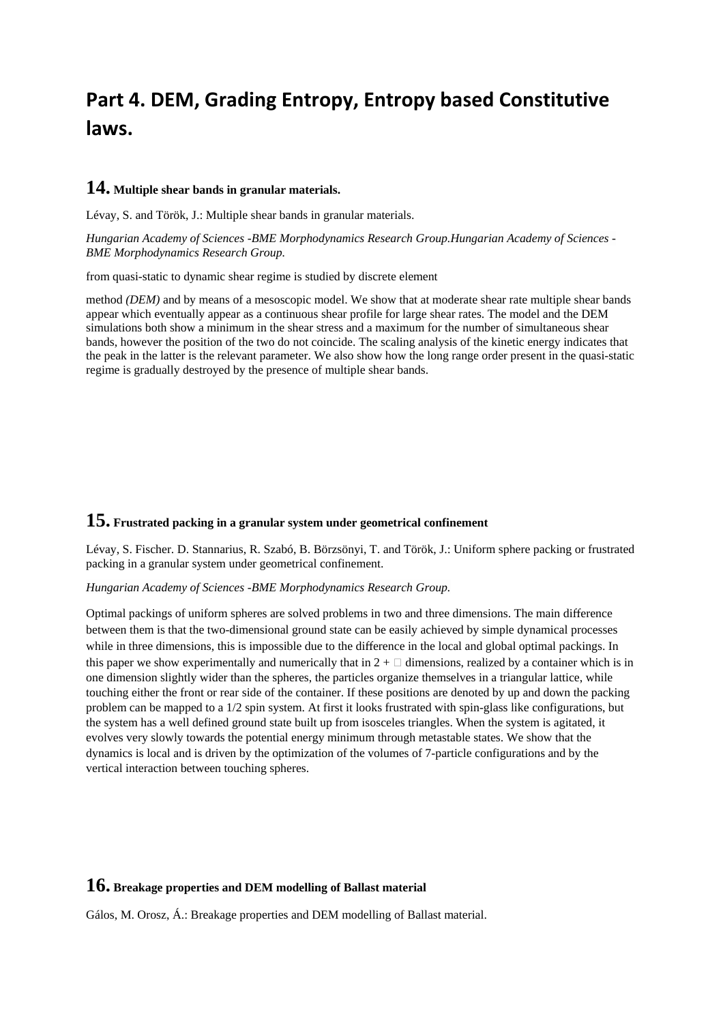# **Part 4. DEM, Grading Entropy, Entropy based Constitutive laws.**

## **14. Multiple shear bands in granular materials.**

Lévay, S. and Török, J.: Multiple shear bands in granular materials.

*Hungarian Academy of Sciences -BME Morphodynamics Research Group.Hungarian Academy of Sciences - BME Morphodynamics Research Group.*

from quasi-static to dynamic shear regime is studied by discrete element

method *(DEM)* and by means of a mesoscopic model. We show that at moderate shear rate multiple shear bands appear which eventually appear as a continuous shear profile for large shear rates. The model and the DEM simulations both show a minimum in the shear stress and a maximum for the number of simultaneous shear bands, however the position of the two do not coincide. The scaling analysis of the kinetic energy indicates that the peak in the latter is the relevant parameter. We also show how the long range order present in the quasi-static regime is gradually destroyed by the presence of multiple shear bands.

# **15. Frustrated packing in a granular system under geometrical confinement**

Lévay, S. Fischer. D. Stannarius, R. Szabó, B. Börzsönyi, T. and Török, J.: Uniform sphere packing or frustrated packing in a granular system under geometrical confinement.

#### *Hungarian Academy of Sciences -BME Morphodynamics Research Group.*

Optimal packings of uniform spheres are solved problems in two and three dimensions. The main difference between them is that the two-dimensional ground state can be easily achieved by simple dynamical processes while in three dimensions, this is impossible due to the difference in the local and global optimal packings. In this paper we show experimentally and numerically that in  $2 + \Box$  dimensions, realized by a container which is in one dimension slightly wider than the spheres, the particles organize themselves in a triangular lattice, while touching either the front or rear side of the container. If these positions are denoted by up and down the packing problem can be mapped to a 1/2 spin system. At first it looks frustrated with spin-glass like configurations, but the system has a well defined ground state built up from isosceles triangles. When the system is agitated, it evolves very slowly towards the potential energy minimum through metastable states. We show that the dynamics is local and is driven by the optimization of the volumes of 7-particle configurations and by the vertical interaction between touching spheres.

# **16. Breakage properties and DEM modelling of Ballast material**

Gálos, M. Orosz, Á.: Breakage properties and DEM modelling of Ballast material.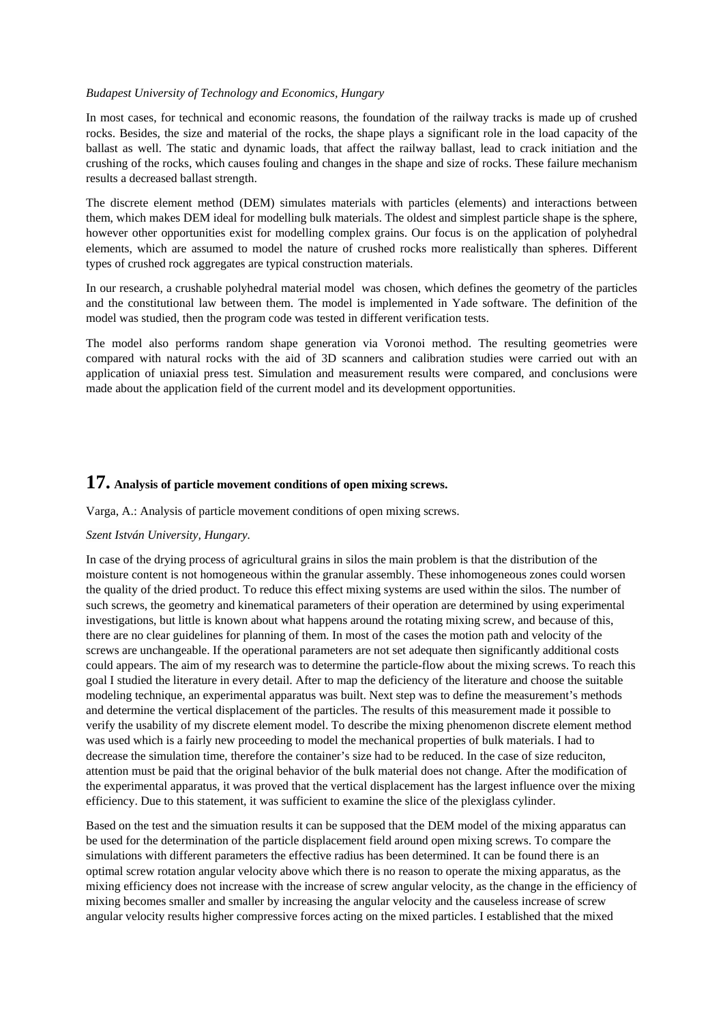#### *Budapest University of Technology and Economics, Hungary*

In most cases, for technical and economic reasons, the foundation of the railway tracks is made up of crushed rocks. Besides, the size and material of the rocks, the shape plays a significant role in the load capacity of the ballast as well. The static and dynamic loads, that affect the railway ballast, lead to crack initiation and the crushing of the rocks, which causes fouling and changes in the shape and size of rocks. These failure mechanism results a decreased ballast strength.

The discrete element method (DEM) simulates materials with particles (elements) and interactions between them, which makes DEM ideal for modelling bulk materials. The oldest and simplest particle shape is the sphere, however other opportunities exist for modelling complex grains. Our focus is on the application of polyhedral elements, which are assumed to model the nature of crushed rocks more realistically than spheres. Different types of crushed rock aggregates are typical construction materials.

In our research, a crushable polyhedral material model was chosen, which defines the geometry of the particles and the constitutional law between them. The model is implemented in Yade software. The definition of the model was studied, then the program code was tested in different verification tests.

The model also performs random shape generation via Voronoi method. The resulting geometries were compared with natural rocks with the aid of 3D scanners and calibration studies were carried out with an application of uniaxial press test. Simulation and measurement results were compared, and conclusions were made about the application field of the current model and its development opportunities.

## **17. Analysis of particle movement conditions of open mixing screws.**

Varga, A.: Analysis of particle movement conditions of open mixing screws.

#### *Szent István University, Hungary.*

In case of the drying process of agricultural grains in silos the main problem is that the distribution of the moisture content is not homogeneous within the granular assembly. These inhomogeneous zones could worsen the quality of the dried product. To reduce this effect mixing systems are used within the silos. The number of such screws, the geometry and kinematical parameters of their operation are determined by using experimental investigations, but little is known about what happens around the rotating mixing screw, and because of this, there are no clear guidelines for planning of them. In most of the cases the motion path and velocity of the screws are unchangeable. If the operational parameters are not set adequate then significantly additional costs could appears. The aim of my research was to determine the particle-flow about the mixing screws. To reach this goal I studied the literature in every detail. After to map the deficiency of the literature and choose the suitable modeling technique, an experimental apparatus was built. Next step was to define the measurement's methods and determine the vertical displacement of the particles. The results of this measurement made it possible to verify the usability of my discrete element model. To describe the mixing phenomenon discrete element method was used which is a fairly new proceeding to model the mechanical properties of bulk materials. I had to decrease the simulation time, therefore the container's size had to be reduced. In the case of size reduciton, attention must be paid that the original behavior of the bulk material does not change. After the modification of the experimental apparatus, it was proved that the vertical displacement has the largest influence over the mixing efficiency. Due to this statement, it was sufficient to examine the slice of the plexiglass cylinder.

Based on the test and the simuation results it can be supposed that the DEM model of the mixing apparatus can be used for the determination of the particle displacement field around open mixing screws. To compare the simulations with different parameters the effective radius has been determined. It can be found there is an optimal screw rotation angular velocity above which there is no reason to operate the mixing apparatus, as the mixing efficiency does not increase with the increase of screw angular velocity, as the change in the efficiency of mixing becomes smaller and smaller by increasing the angular velocity and the causeless increase of screw angular velocity results higher compressive forces acting on the mixed particles. I established that the mixed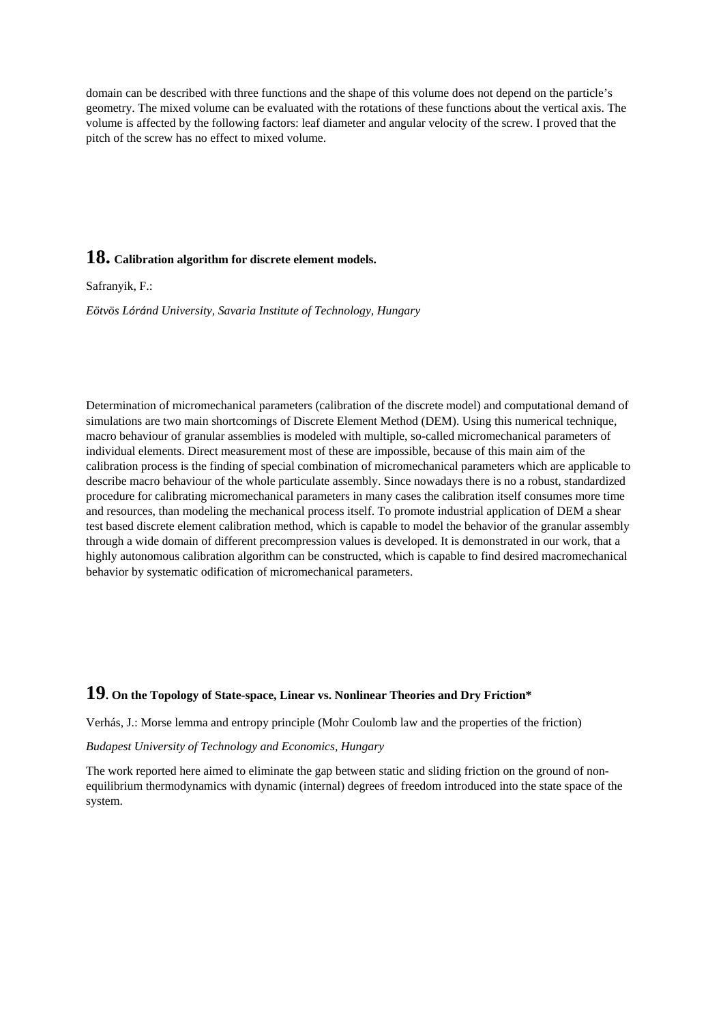domain can be described with three functions and the shape of this volume does not depend on the particle's geometry. The mixed volume can be evaluated with the rotations of these functions about the vertical axis. The volume is affected by the following factors: leaf diameter and angular velocity of the screw. I proved that the pitch of the screw has no effect to mixed volume.

## **18. Calibration algorithm for discrete element models.**

Safranyik, F.:

*Eötvös Lóránd University, Savaria Institute of Technology, Hungary* 

Determination of micromechanical parameters (calibration of the discrete model) and computational demand of simulations are two main shortcomings of Discrete Element Method (DEM). Using this numerical technique, macro behaviour of granular assemblies is modeled with multiple, so-called micromechanical parameters of individual elements. Direct measurement most of these are impossible, because of this main aim of the calibration process is the finding of special combination of micromechanical parameters which are applicable to describe macro behaviour of the whole particulate assembly. Since nowadays there is no a robust, standardized procedure for calibrating micromechanical parameters in many cases the calibration itself consumes more time and resources, than modeling the mechanical process itself. To promote industrial application of DEM a shear test based discrete element calibration method, which is capable to model the behavior of the granular assembly through a wide domain of different precompression values is developed. It is demonstrated in our work, that a highly autonomous calibration algorithm can be constructed, which is capable to find desired macromechanical behavior by systematic odification of micromechanical parameters.

## **19. On the Topology of State-space, Linear vs. Nonlinear Theories and Dry Friction\***

Verhás, J.: Morse lemma and entropy principle (Mohr Coulomb law and the properties of the friction)

#### *Budapest University of Technology and Economics, Hungary*

The work reported here aimed to eliminate the gap between static and sliding friction on the ground of nonequilibrium thermodynamics with dynamic (internal) degrees of freedom introduced into the state space of the system.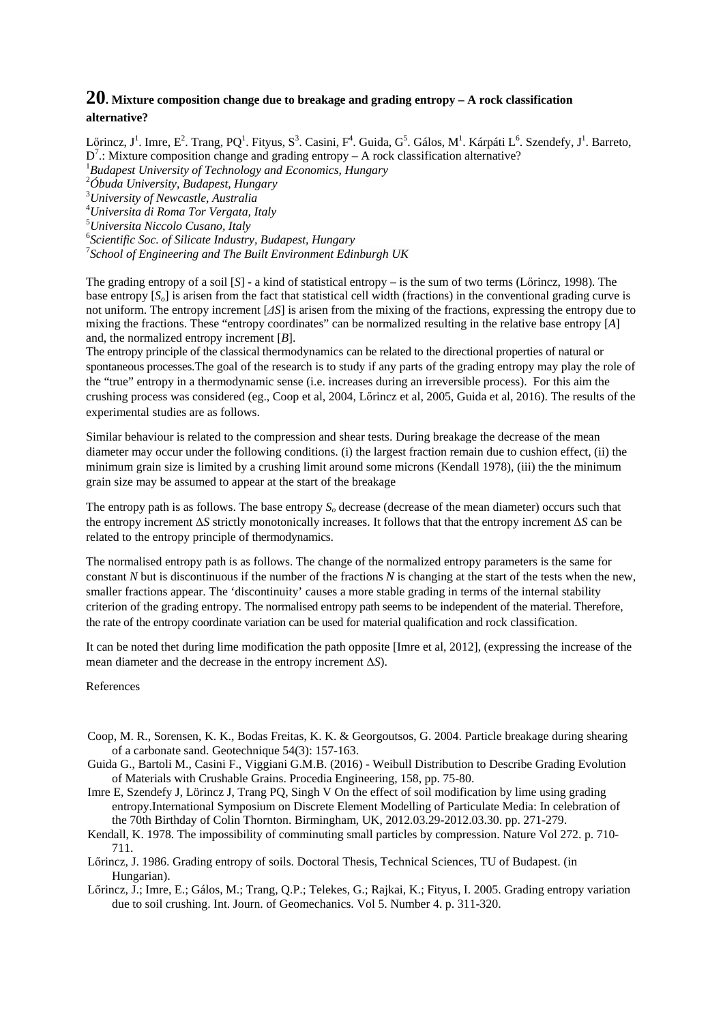## **20. Mixture composition change due to breakage and grading entropy – A rock classification alternative?**

Lőrincz, J<sup>1</sup>. Imre, E<sup>2</sup>. Trang, PQ<sup>1</sup>. Fityus, S<sup>3</sup>. Casini, F<sup>4</sup>. Guida, G<sup>5</sup>. Gálos, M<sup>1</sup>. Kárpáti L<sup>6</sup>. Szendefy, J<sup>1</sup>. Barreto,  $D^7$ .: Mixture composition change and grading entropy – A rock classification alternative? *Budapest University of Technology and Economics, Hungary Óbuda University, Budapest, Hungary University of Newcastle, Australia Universita di Roma Tor Vergata, Italy Universita Niccolo Cusano, Italy Scientific Soc. of Silicate Industry, Budapest, Hungary School of Engineering and The Built Environment Edinburgh UK*

The grading entropy of a soil [*S*] - a kind of statistical entropy – is the sum of two terms (Lőrincz, 1998). The base entropy  $[S_o]$  is arisen from the fact that statistical cell width (fractions) in the conventional grading curve is not uniform. The entropy increment [*∆S*] is arisen from the mixing of the fractions, expressing the entropy due to mixing the fractions. These "entropy coordinates" can be normalized resulting in the relative base entropy [*A*] and, the normalized entropy increment [*B*].

The entropy principle of the classical thermodynamics can be related to the directional properties of natural or spontaneous processes.The goal of the research is to study if any parts of the grading entropy may play the role of the "true" entropy in a thermodynamic sense (i.e. increases during an irreversible process). For this aim the crushing process was considered (eg., Coop et al, 2004, Lőrincz et al, 2005, Guida et al, 2016). The results of the experimental studies are as follows.

Similar behaviour is related to the compression and shear tests. During breakage the decrease of the mean diameter may occur under the following conditions. (i) the largest fraction remain due to cushion effect, (ii) the minimum grain size is limited by a crushing limit around some microns (Kendall 1978), (iii) the the minimum grain size may be assumed to appear at the start of the breakage

The entropy path is as follows. The base entropy  $S$ <sup>*o*</sup> decrease (decrease of the mean diameter) occurs such that the entropy increment ∆*S* strictly monotonically increases. It follows that that the entropy increment ∆*S* can be related to the entropy principle of thermodynamics.

The normalised entropy path is as follows. The change of the normalized entropy parameters is the same for constant *N* but is discontinuous if the number of the fractions *N* is changing at the start of the tests when the new, smaller fractions appear. The 'discontinuity' causes a more stable grading in terms of the internal stability criterion of the grading entropy. The normalised entropy path seems to be independent of the material. Therefore, the rate of the entropy coordinate variation can be used for material qualification and rock classification.

It can be noted thet during lime modification the path opposite [Imre et al, 2012], (expressing the increase of the mean diameter and the decrease in the entropy increment ∆*S*).

#### References

- Coop, M. R., Sorensen, K. K., Bodas Freitas, K. K. & Georgoutsos, G. 2004. Particle breakage during shearing of a carbonate sand. Geotechnique 54(3): 157-163.
- Guida G., Bartoli M., Casini F., Viggiani G.M.B. (2016) Weibull Distribution to Describe Grading Evolution of Materials with Crushable Grains. Procedia Engineering, 158, pp. 75-80.
- Imre E, Szendefy J, Lörincz J, Trang PQ, Singh V On the effect of soil modification by lime using grading entropy.International Symposium on Discrete Element Modelling of Particulate Media: In celebration of the 70th Birthday of Colin Thornton. Birmingham, UK, 2012.03.29-2012.03.30. pp. 271-279.
- Kendall, K. 1978. The impossibility of comminuting small particles by compression. Nature Vol 272. p. 710-711.
- Lőrincz, J. 1986. Grading entropy of soils. Doctoral Thesis, Technical Sciences, TU of Budapest. (in Hungarian).
- Lőrincz, J.; Imre, E.; Gálos, M.; Trang, Q.P.; Telekes, G.; Rajkai, K.; Fityus, I. 2005. Grading entropy variation due to soil crushing. Int. Journ. of Geomechanics. Vol 5. Number 4. p. 311-320.